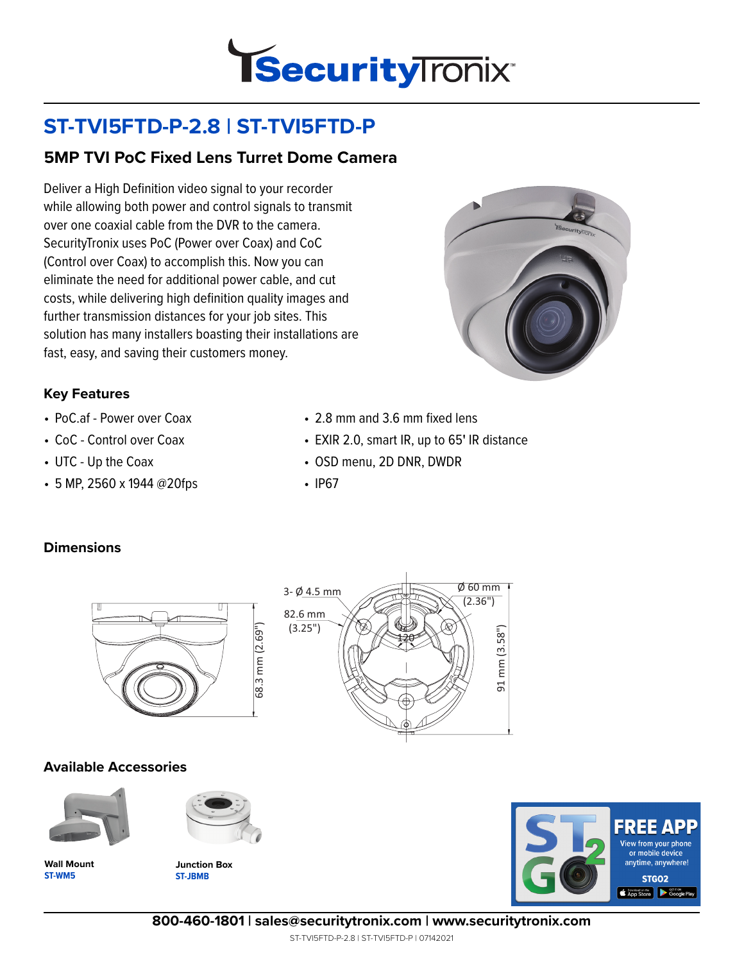

# **ST-TVI5FTD-P-2.8 | ST-TVI5FTD-P**

### **5MP TVI PoC Fixed Lens Turret Dome Camera**

Deliver a High Definition video signal to your recorder while allowing both power and control signals to transmit over one coaxial cable from the DVR to the camera. SecurityTronix uses PoC (Power over Coax) and CoC (Control over Coax) to accomplish this. Now you can eliminate the need for additional power cable, and cut costs, while delivering high definition quality images and further transmission distances for your job sites. This solution has many installers boasting their installations are fast, easy, and saving their customers money.



#### **Key Features**

- PoC.af Power over Coax
- CoC Control over Coax
- UTC Up the Coax
- 5 MP, 2560 x 1944 @20fps
- 2.8 mm and 3.6 mm fixed lens
- EXIR 2.0, smart IR, up to 65**'** IR distance
- OSD menu, 2D DNR, DWDR
- IP67

#### **Dimensions**



# **Available Accessories**







**ST-JBMB Junction Box**





**800-460-1801 | sales@securitytronix.com | www.securitytronix.com**

ST-TVI5FTD-P-2.8 | ST-TVI5FTD-P | 07142021